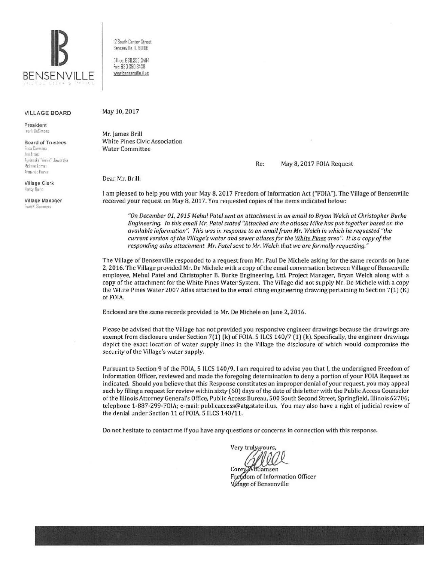

VILLAGE BOARD

President frank DeSimone

**Board of Trustees**<br>Rusa Carmona Ann Franz Al' :1•si~il ''Ann:{ **Jaworsh**  McLane Lomax Armando Perez

Village Clerk llancy flu•nn

Village Manager **Tvan K. Summers** 

12 South Center Street Bensenville, IL 60I06

0 llice. 630.350.3404 fax 630 350 3438 v.ww.bensemille ii us

May 10, 2017

Mr. James Brill White Pines Civic Association Water Committee

Re: May 8, 2017 FOIA Request

Dear Mr. Brill:

I am pleased to help you with your May 8, 2017 Freedom of Information Act ("FOIA"). The Village of Bensenville received your request on May 8, 2017. You requested copies of the items indicated below:

*"On December 01, 2015 Mehul Patel sent an attachment in an email to Bryan Welch at Christopher Burke Engineering. In this email Mr. Patel stated "Attached are the atlases Mike has put together based on the available information". This was in response to an email from Mr. Welch in which he requested "the current version of the Village's water and sewer atlases for the White Pines area''.* It is *a copy of the responding atlas attachment Mr. Patel sent to Mr. Welch that we are formally requesting."* 

The Village of Bensenville responded to a request from Mr. Paul De Michele asking for the same records on June 2, 2016. The Village provided Mr. De Michele with a copy of the email conversation between Village of Bensenville employee, Mehul Patel and Christopher B. Burke Engineering, Ltd. Project Manager, Bryan Welch along with a copy of the attachment for the White Pines Water System. The Village did not supply Mr. De Michele with a copy the White Pines Water 2007 Atlas attached to the email citing engineering drawing pertaining to Section 7(1) (K) ofFOIA.

Enclosed are the same records provided to Mr. De Michele on June 2, 2016.

Please be advised that the Village has not provided you responsive engineer drawings because the drawings are exempt from disclosure under Section 7(1) (k) of FOIA. 5 ILCS 140/7 (1) (k). Specifically, the engineer drawings depict the exact location of water supply lines in the Village the disclosure of which would compromise the security of the Village's water supply.

Pursuant to Section 9 of the FOIA, 5 ILCS 140/9, I am required to advise you that I, the undersigned Freedom of Information Officer, reviewed and made the foregoing determination to deny a portion of your FOIA Request as indicated. Should you believe that this Response constitutes an improper denial of your request, you may appeal such by filing a request for review within sixty (60) days of the date of this letter with the Public Access Counselor of the Illinois Attorney General's Office, Public Access Bureau, 500 South Second Street. Springfield, Illinois 62706; telephone 1-887-299-FOIA; e-mail: publicaccess@atg.state.il.us. You may also have a right of judicial review of the denial under Section 11 of FOIA, 5 ILCS 140/11.

Do not hesitate to contact me if you have any questions or concerns in connection with this response.

Very truly yours

**Core** Freedom of Information Officer **Village of Bensenville**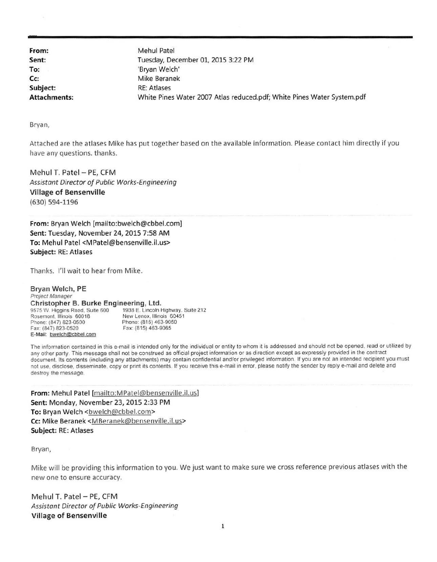From: Mehul Patel Sent: To: Subject: RE: Atlases

Tuesday, December 01, 2015 3:22 PM 'Bryan Welch' Cc: Mike Beranek Attachments: White Pines Water 2007 Atlas reduced.pdf; White Pines Water System.pdf

Bryan,

Attached are the atlases Mike has put together based on the available information. Please contact him directly if you have any questions. thanks.

Mehul T. Patel - PE, CFM Assistant Director of Public Works-Engineering Village of Bensenville (630) 594-1196

From: Bryan Welch [mailto:bwelch@cbbel.com] Sent: Tuesday, November 24, 2015 7:58 AM To: Mehul Patel <MPatel@bensenville.il.us> Subject: RE: Atlases

Thanks. I'll wait to hear from Mike.

Bryan Welch, PE Project Manager Christopher B. Burke Engineering, Ltd. 9575 W. Higgins Road. Suite 600 1938 E. Lincoln Highway. Suite 212 Rosemont, Illinois 60018 New Lenox, Illinois 60451 Phone: (815) 463-9050 Fax. (847) 823-0520 Fax: (815) 463-9065 E-Mail: bwelch@cbbel.com

The information contained in this e-mail is intended only for the individual or entity to whom it is addressed and should not be opened. read or utilized by any other party. This message shall not be construed as official project information or as direction except as expressly provided in the contract document. Its contents (including any attachments) may contain confidential and/or privileged information. If you are not an intended recipient you must not use, disclose. disseminate. copy or print its contents. If you receive this e-mail in error. please notify the sender by reply e-mail and delete and destroy the message.

From: Mehul Patel [mailto:MPatel@bensenville.il.us) Sent: Monday, November 23, 2015 2:33 PM To: Bryan Welch <br />
<br />
<br />
<br />
Lo: Bryan Welch <br />
<br />
<br />
Lo: Bryan Welch <br />
<br />
<br />
Lo: Bryan Welch <br />
<br />
Lo: Bryan Welch <br />
<br />
Lo: Bryan Welch <br />
<br />
Lo: Bryan Welc Cc: Mike Beranek <MBeranek@bensenville.il.us> Subject: RE: Atlases

Bryan,

Mike will be providing this information to you. We just want to make sure we cross reference previous atlases with the new one to ensure accuracy.

Mehul T. Patel - PE, CFM Assistant Director of Public Works-Engineering Village of Bensenville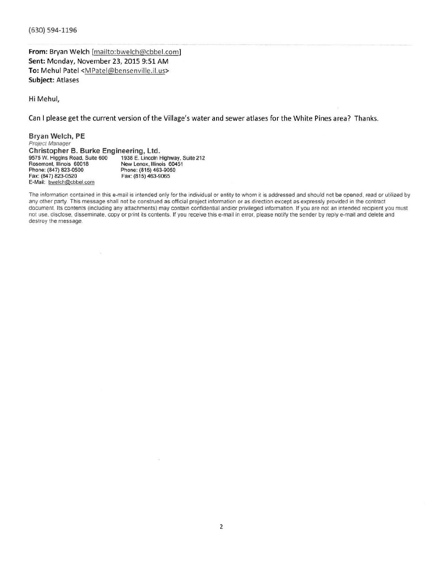(630) 594-1196

From: Bryan Welch [mailto:bwelch@cbbel.com] Sent: Monday, November 23, 2015 9:51 AM To: Mehul Patel <MPatel@bensenville.il.us> Subject: Atlases

Hi Mehul,

Can I please get the current version of the Village's water and sewer atlases for the White Pines area? Thanks.

Bryan Welch, PE Project Manager Christopher B. Burke Engineering, Ltd.<br>9575 W. Higgins Road, Suite 600 1938 E. Lincoln H 9575 W. Higgins Road, Suite 600 1938 E. Lincoln Highway, Suite 212<br>Rosemont, Illinois 60018 New Lenox, Illinois 60451 Rosemont. Illinois 60018 New Lenox, Illinois 60451 Phone: (847) 823-0500<br>
Fax: (847) 823-0520<br>
Phone: (815) 463-9065<br>
Fax: (815) 463-9065 Fax: (815) 463-9065 E-Mail: bwelch@cbbel.com

The information contained in this e-mail is intended only for the individual or entity to whom it is addressed and should not be opened, read or utilized by any other party. This message shall not be construed as official project information or as direction except as expressly provided in the contract document. Its contents (including any attachments) may contain confidential and/or privileged information. If you are not an intended recipient you must not use. disclose, disseminate. copy or print its contents. If you receive this e-mail in error. please notify the sender by reply e-mail and delete and destroy the message.